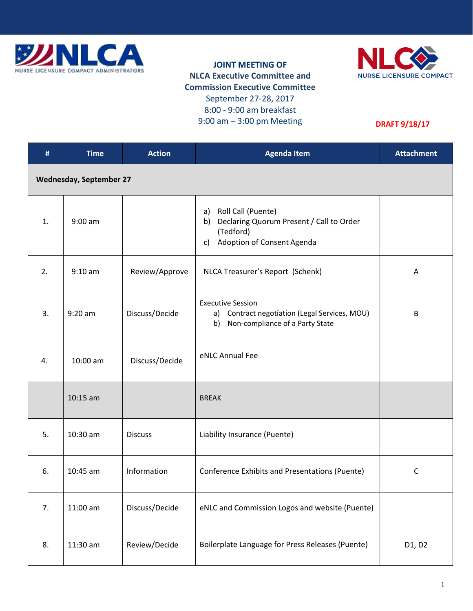

## **JOINT MEETING OF NLCA Executive Committee and Commission Executive Committee** September 27-28, 2017 8:00 - 9:00 am breakfast 9:00 am – 3:00 pm Meeting



## **DRAFT 9/18/17**

| #                              | <b>Time</b> | <b>Action</b>  | <b>Agenda Item</b>                                                                                                    | <b>Attachment</b> |  |
|--------------------------------|-------------|----------------|-----------------------------------------------------------------------------------------------------------------------|-------------------|--|
| <b>Wednesday, September 27</b> |             |                |                                                                                                                       |                   |  |
| 1.                             | $9:00$ am   |                | a) Roll Call (Puente)<br>Declaring Quorum Present / Call to Order<br>b)<br>(Tedford)<br>c) Adoption of Consent Agenda |                   |  |
| 2.                             | $9:10$ am   | Review/Approve | NLCA Treasurer's Report (Schenk)                                                                                      | A                 |  |
| 3.                             | $9:20$ am   | Discuss/Decide | <b>Executive Session</b><br>Contract negotiation (Legal Services, MOU)<br>a)<br>Non-compliance of a Party State<br>b) | B                 |  |
| 4.                             | 10:00 am    | Discuss/Decide | eNLC Annual Fee                                                                                                       |                   |  |
|                                | $10:15$ am  |                | <b>BREAK</b>                                                                                                          |                   |  |
| 5.                             | 10:30 am    | <b>Discuss</b> | Liability Insurance (Puente)                                                                                          |                   |  |
| 6.                             | $10:45$ am  | Information    | Conference Exhibits and Presentations (Puente)                                                                        | $\mathsf{C}$      |  |
| 7.                             | $11:00$ am  | Discuss/Decide | eNLC and Commission Logos and website (Puente)                                                                        |                   |  |
| 8.                             | 11:30 am    | Review/Decide  | Boilerplate Language for Press Releases (Puente)                                                                      | D1, D2            |  |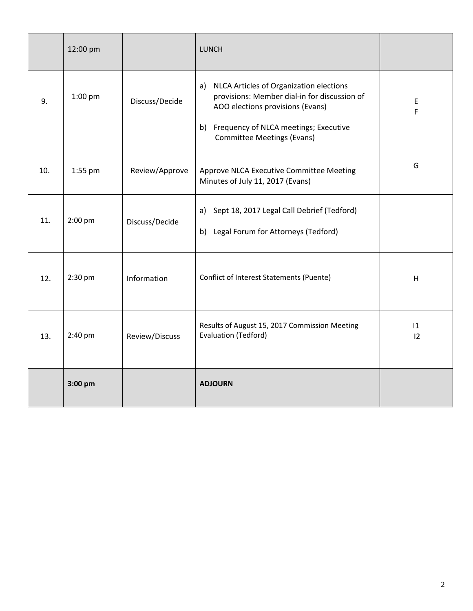|     | 12:00 pm  |                | <b>LUNCH</b>                                                                                                                                                                                                          |          |
|-----|-----------|----------------|-----------------------------------------------------------------------------------------------------------------------------------------------------------------------------------------------------------------------|----------|
| 9.  | 1:00 pm   | Discuss/Decide | NLCA Articles of Organization elections<br>a)<br>provisions: Member dial-in for discussion of<br>AOO elections provisions (Evans)<br>Frequency of NLCA meetings; Executive<br>b)<br><b>Committee Meetings (Evans)</b> | E<br>F   |
| 10. | 1:55 pm   | Review/Approve | Approve NLCA Executive Committee Meeting<br>Minutes of July 11, 2017 (Evans)                                                                                                                                          | G        |
| 11. | $2:00$ pm | Discuss/Decide | a) Sept 18, 2017 Legal Call Debrief (Tedford)<br>Legal Forum for Attorneys (Tedford)<br>b)                                                                                                                            |          |
| 12. | 2:30 pm   | Information    | Conflict of Interest Statements (Puente)                                                                                                                                                                              | H        |
| 13. | 2:40 pm   | Review/Discuss | Results of August 15, 2017 Commission Meeting<br>Evaluation (Tedford)                                                                                                                                                 | 1 <br>12 |
|     | 3:00 pm   |                | <b>ADJOURN</b>                                                                                                                                                                                                        |          |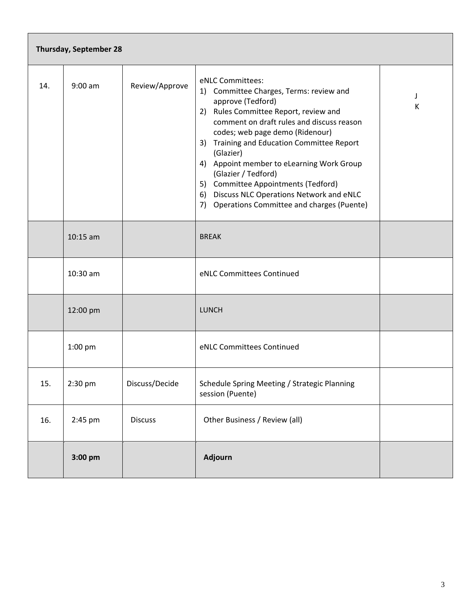| Thursday, September 28 |                   |                |                                                                                                                                                                                                                                                                                                                                                                                                                                                                               |        |  |
|------------------------|-------------------|----------------|-------------------------------------------------------------------------------------------------------------------------------------------------------------------------------------------------------------------------------------------------------------------------------------------------------------------------------------------------------------------------------------------------------------------------------------------------------------------------------|--------|--|
| 14.                    | $9:00$ am         | Review/Approve | eNLC Committees:<br>1) Committee Charges, Terms: review and<br>approve (Tedford)<br>2) Rules Committee Report, review and<br>comment on draft rules and discuss reason<br>codes; web page demo (Ridenour)<br>3) Training and Education Committee Report<br>(Glazier)<br>4) Appoint member to eLearning Work Group<br>(Glazier / Tedford)<br>5) Committee Appointments (Tedford)<br>6) Discuss NLC Operations Network and eNLC<br>7) Operations Committee and charges (Puente) | J<br>К |  |
|                        | $10:15$ am        |                | <b>BREAK</b>                                                                                                                                                                                                                                                                                                                                                                                                                                                                  |        |  |
|                        | 10:30 am          |                | eNLC Committees Continued                                                                                                                                                                                                                                                                                                                                                                                                                                                     |        |  |
|                        | 12:00 pm          |                | <b>LUNCH</b>                                                                                                                                                                                                                                                                                                                                                                                                                                                                  |        |  |
|                        | 1:00 pm           |                | eNLC Committees Continued                                                                                                                                                                                                                                                                                                                                                                                                                                                     |        |  |
| 15.                    | $2:30 \text{ pm}$ | Discuss/Decide | Schedule Spring Meeting / Strategic Planning<br>session (Puente)                                                                                                                                                                                                                                                                                                                                                                                                              |        |  |
| 16.                    | 2:45 pm           | <b>Discuss</b> | Other Business / Review (all)                                                                                                                                                                                                                                                                                                                                                                                                                                                 |        |  |
|                        | 3:00 pm           |                | Adjourn                                                                                                                                                                                                                                                                                                                                                                                                                                                                       |        |  |